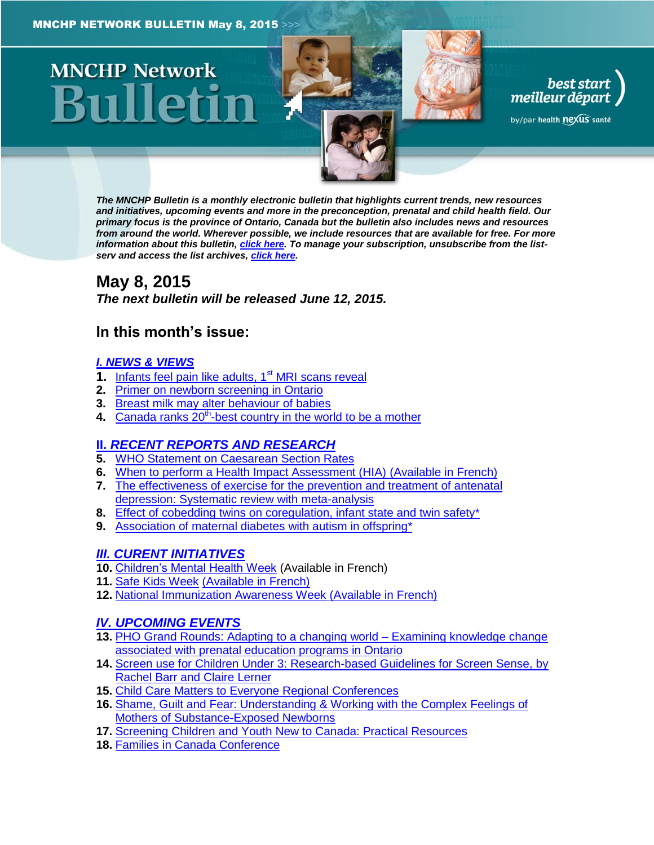# **MNCHP Network**



best start<br>, meilleur départ

by/par health nexus santé

*The MNCHP Bulletin is a monthly electronic bulletin that highlights current trends, new resources and initiatives, upcoming events and more in the preconception, prenatal and child health field. Our primary focus is the province of Ontario, Canada but the bulletin also includes news and resources from around the world. Wherever possible, we include resources that are available for free. For more information about this bulletin[, click here.](#page-14-0) To manage your subscription, unsubscribe from the listserv and access the list archives, [click here.](http://beststart.org/services/information.html)* 

# <span id="page-0-0"></span>**May 8, 2015**

*The next bulletin will be released June 12, 2015.*

# **In this month's issue:**

### *[I. NEWS & VIEWS](#page-1-0)*

- **1.** [Infants feel pain like adults, 1](#page-1-1)<sup>st</sup> MRI scans reveal
- **2.** [Primer on newborn screening in Ontario](#page-1-2)
- **3.** [Breast milk may alter behaviour of babies](#page-2-0)
- 4. Canada ranks 20<sup>th</sup>[-best country in the world to be a mother](#page-2-1)

# **II.** *[RECENT REPORTS AND RESEARCH](#page-2-2)*

- **5.** [WHO Statement on Caesarean Section Rates](#page-2-3)
- **6.** [When to perform a Health Impact Assessment \(HIA\)](#page-3-0) (Available in French)
- **7.** [The effectiveness of exercise for the prevention and treatment of antenatal](#page-4-0)  [depression: Systematic review with meta-analysis](#page-4-0)
- **8.** [Effect of cobedding twins on coregulation, infant state and twin safety\\*](#page-5-0)
- **9.** [Association of maternal diabetes with autism in offspring\\*](#page-6-0)

# *[III. CURENT INITIATIVES](#page-7-0)*

- **10.** [Children's Mental Health Week](#page-7-1) (Available in French)
- **11.** [Safe Kids Week](#page-8-0) (Available in French)
- **12.** [National Immunization Awareness Week](#page-8-1) (Available in French)

# *[IV. UPCOMING EVENTS](#page-9-0)*

- **13.** [PHO Grand Rounds: Adapting to a changing world –](#page-9-1) Examining knowledge change [associated with prenatal education programs in Ontario](#page-9-1)
- **14.** [Screen use for Children Under 3: Research-based Guidelines for Screen Sense, by](#page-9-2)  [Rachel Barr and Claire Lerner](#page-9-2)
- **15.** [Child Care Matters to Everyone Regional Conferences](#page-10-0)
- **16.** [Shame, Guilt and Fear: Understanding & Working with the Complex Feelings of](#page-10-1)  [Mothers of Substance-Exposed Newborns](#page-10-1)
- **17.** [Screening Children and Youth New to Canada: Practical Resources](#page-10-2)
- **18.** [Families in Canada Conference](#page-11-0)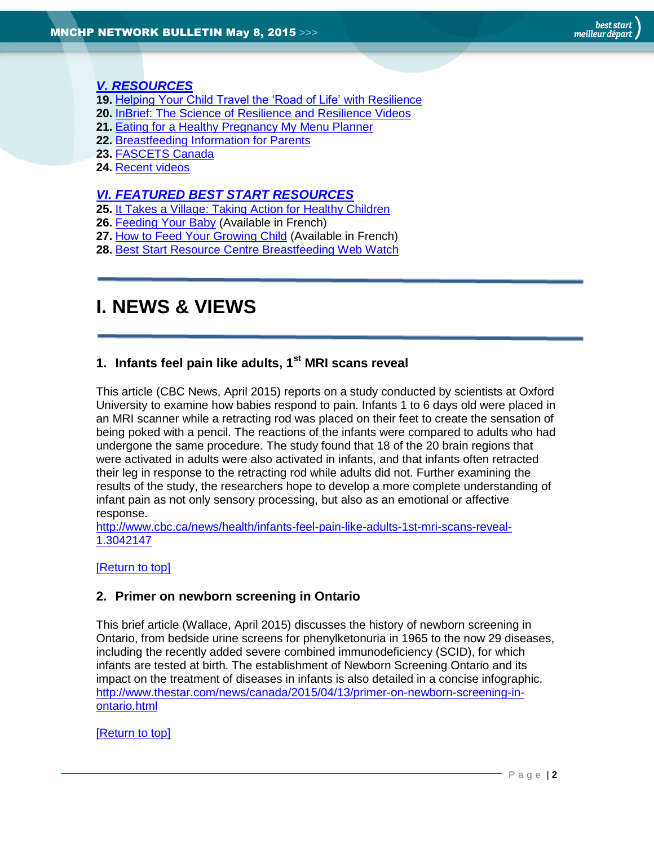### *[V. RESOURCES](#page-11-1)*

- **19.** [Helping Your Child Travel the 'Road of Life' with Resilience](#page-11-2)
- **20.** [InBrief: The Science of Resilience and Resilience Videos](#page-11-3)
- **21.** [Eating for a Healthy Pregnancy My Menu Planner](#page-12-0)
- **22.** [Breastfeeding Information for Parents](#page-12-1)
- **23.** [FASCETS Canada](#page-12-2)
- **24.** [Recent videos](#page-12-3)

### *[VI. FEATURED BEST START RESOURCES](#page-13-0)*

- **25.** [It Takes a Village: Taking Action for Healthy Children](#page-13-1)
- **26.** [Feeding Your Baby](#page-13-2) (Available in French)
- **27.** [How to Feed Your Growing Child](#page-13-3) (Available in French)
- **28.** [Best Start Resource Centre Breastfeeding Web Watch](#page-14-1)

# <span id="page-1-0"></span>**I. NEWS & VIEWS**

# <span id="page-1-1"></span>**1. Infants feel pain like adults, 1st MRI scans reveal**

This article (CBC News, April 2015) reports on a study conducted by scientists at Oxford University to examine how babies respond to pain. Infants 1 to 6 days old were placed in an MRI scanner while a retracting rod was placed on their feet to create the sensation of being poked with a pencil. The reactions of the infants were compared to adults who had undergone the same procedure. The study found that 18 of the 20 brain regions that were activated in adults were also activated in infants, and that infants often retracted their leg in response to the retracting rod while adults did not. Further examining the results of the study, the researchers hope to develop a more complete understanding of infant pain as not only sensory processing, but also as an emotional or affective response.

[http://www.cbc.ca/news/health/infants-feel-pain-like-adults-1st-mri-scans-reveal-](http://www.cbc.ca/news/health/infants-feel-pain-like-adults-1st-mri-scans-reveal-1.3042147)[1.3042147](http://www.cbc.ca/news/health/infants-feel-pain-like-adults-1st-mri-scans-reveal-1.3042147)

### [\[Return to top\]](#page-0-0)

### <span id="page-1-2"></span>**2. Primer on newborn screening in Ontario**

This brief article (Wallace, April 2015) discusses the history of newborn screening in Ontario, from bedside urine screens for phenylketonuria in 1965 to the now 29 diseases, including the recently added severe combined immunodeficiency (SCID), for which infants are tested at birth. The establishment of Newborn Screening Ontario and its impact on the treatment of diseases in infants is also detailed in a concise infographic. [http://www.thestar.com/news/canada/2015/04/13/primer-on-newborn-screening-in](http://www.thestar.com/news/canada/2015/04/13/primer-on-newborn-screening-in-ontario.html)[ontario.html](http://www.thestar.com/news/canada/2015/04/13/primer-on-newborn-screening-in-ontario.html)

### [\[Return to top\]](#page-0-0)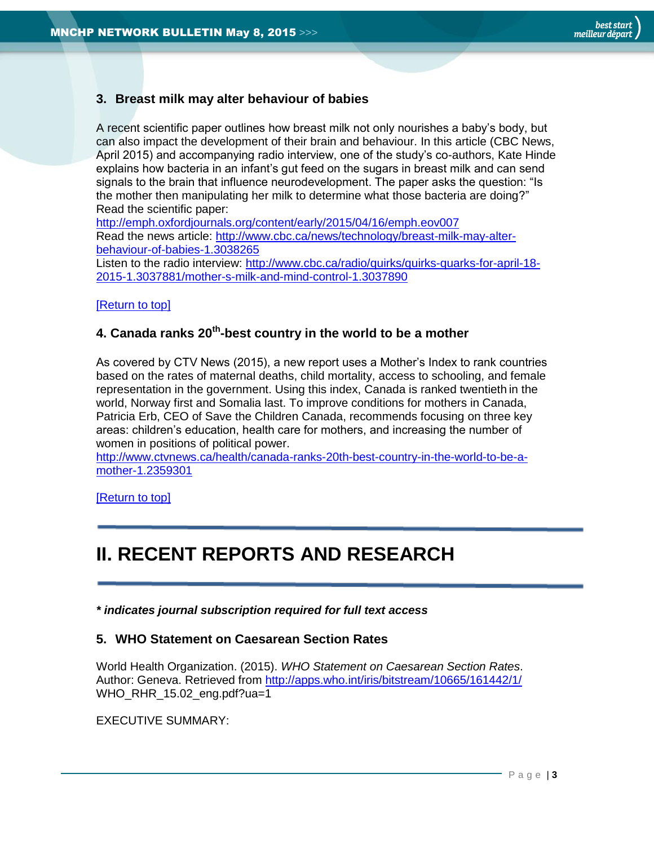### <span id="page-2-0"></span>**3. Breast milk may alter behaviour of babies**

A recent scientific paper outlines how breast milk not only nourishes a baby's body, but can also impact the development of their brain and behaviour. In this article (CBC News, April 2015) and accompanying radio interview, one of the study's co-authors, Kate Hinde explains how bacteria in an infant's gut feed on the sugars in breast milk and can send signals to the brain that influence neurodevelopment. The paper asks the question: "Is the mother then manipulating her milk to determine what those bacteria are doing?" Read the scientific paper:

<http://emph.oxfordjournals.org/content/early/2015/04/16/emph.eov007> Read the news article: [http://www.cbc.ca/news/technology/breast-milk-may-alter](http://www.cbc.ca/news/technology/breast-milk-may-alter-behaviour-of-babies-1.3038265)[behaviour-of-babies-1.3038265](http://www.cbc.ca/news/technology/breast-milk-may-alter-behaviour-of-babies-1.3038265)

Listen to the radio interview: [http://www.cbc.ca/radio/quirks/quirks-quarks-for-april-18-](http://www.cbc.ca/radio/quirks/quirks-quarks-for-april-18-2015-1.3037881/mother-s-milk-and-mind-control-1.3037890) [2015-1.3037881/mother-s-milk-and-mind-control-1.3037890](http://www.cbc.ca/radio/quirks/quirks-quarks-for-april-18-2015-1.3037881/mother-s-milk-and-mind-control-1.3037890)

### [\[Return to top\]](#page-0-0)

### <span id="page-2-1"></span>**4. Canada ranks 20th -best country in the world to be a mother**

As covered by CTV News (2015), a new report uses a Mother's Index to rank countries based on the rates of maternal deaths, child mortality, access to schooling, and female representation in the government. Using this index, Canada is ranked twentieth in the world, Norway first and Somalia last. To improve conditions for mothers in Canada, Patricia Erb, CEO of Save the Children Canada, recommends focusing on three key areas: children's education, health care for mothers, and increasing the number of women in positions of political power.

[http://www.ctvnews.ca/health/canada-ranks-20th-best-country-in-the-world-to-be-a](http://www.ctvnews.ca/health/canada-ranks-20th-best-country-in-the-world-to-be-a-mother-1.2359301)[mother-1.2359301](http://www.ctvnews.ca/health/canada-ranks-20th-best-country-in-the-world-to-be-a-mother-1.2359301)

[\[Return to top\]](#page-0-0)

# <span id="page-2-2"></span>**II. RECENT REPORTS AND RESEARCH**

*\* indicates journal subscription required for full text access*

### <span id="page-2-3"></span>**5. WHO Statement on Caesarean Section Rates**

World Health Organization. (2015). *WHO Statement on Caesarean Section Rates*. Author: Geneva. Retrieved from<http://apps.who.int/iris/bitstream/10665/161442/1/> WHO\_RHR\_15.02\_eng.pdf?ua=1

EXECUTIVE SUMMARY: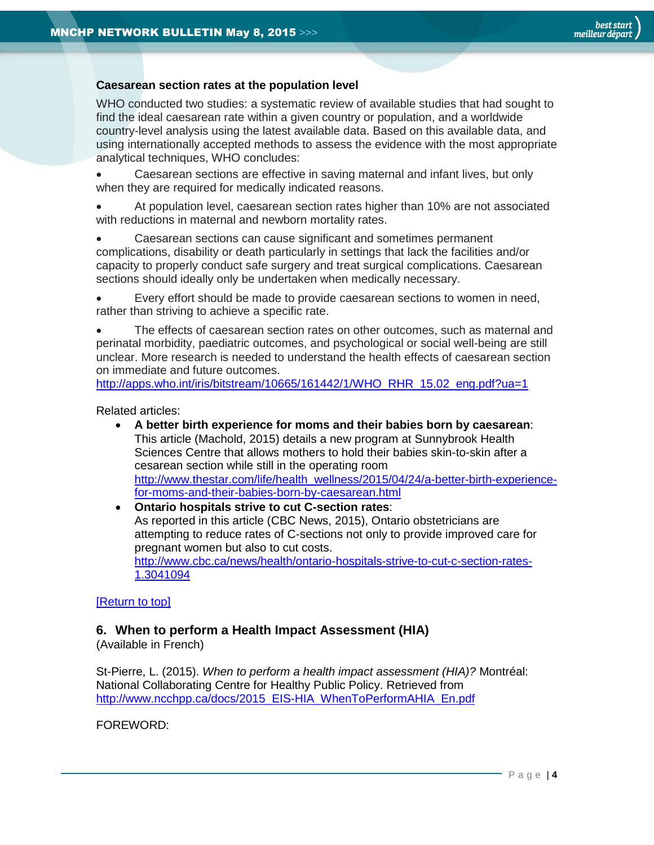### **Caesarean section rates at the population level**

WHO conducted two studies: a systematic review of available studies that had sought to find the ideal caesarean rate within a given country or population, and a worldwide country-level analysis using the latest available data. Based on this available data, and using internationally accepted methods to assess the evidence with the most appropriate analytical techniques, WHO concludes:

 Caesarean sections are effective in saving maternal and infant lives, but only when they are required for medically indicated reasons.

 At population level, caesarean section rates higher than 10% are not associated with reductions in maternal and newborn mortality rates.

 Caesarean sections can cause significant and sometimes permanent complications, disability or death particularly in settings that lack the facilities and/or capacity to properly conduct safe surgery and treat surgical complications. Caesarean sections should ideally only be undertaken when medically necessary.

 Every effort should be made to provide caesarean sections to women in need, rather than striving to achieve a specific rate.

 The effects of caesarean section rates on other outcomes, such as maternal and perinatal morbidity, paediatric outcomes, and psychological or social well-being are still unclear. More research is needed to understand the health effects of caesarean section on immediate and future outcomes.

[http://apps.who.int/iris/bitstream/10665/161442/1/WHO\\_RHR\\_15.02\\_eng.pdf?ua=1](http://apps.who.int/iris/bitstream/10665/161442/1/WHO_RHR_15.02_eng.pdf?ua=1)

Related articles:

- **A better birth experience for moms and their babies born by caesarean**: This article (Machold, 2015) details a new program at Sunnybrook Health Sciences Centre that allows mothers to hold their babies skin-to-skin after a cesarean section while still in the operating room [http://www.thestar.com/life/health\\_wellness/2015/04/24/a-better-birth-experience](http://www.thestar.com/life/health_wellness/2015/04/24/a-better-birth-experience-for-moms-and-their-babies-born-by-caesarean.html)[for-moms-and-their-babies-born-by-caesarean.html](http://www.thestar.com/life/health_wellness/2015/04/24/a-better-birth-experience-for-moms-and-their-babies-born-by-caesarean.html)
- **Ontario hospitals strive to cut C-section rates**: As reported in this article (CBC News, 2015), Ontario obstetricians are attempting to reduce rates of C-sections not only to provide improved care for pregnant women but also to cut costs. [http://www.cbc.ca/news/health/ontario-hospitals-strive-to-cut-c-section-rates-](http://www.cbc.ca/news/health/ontario-hospitals-strive-to-cut-c-section-rates-1.3041094)[1.3041094](http://www.cbc.ca/news/health/ontario-hospitals-strive-to-cut-c-section-rates-1.3041094)

### [\[Return to top\]](#page-0-0)

### <span id="page-3-0"></span>**6. When to perform a Health Impact Assessment (HIA)**

(Available in French)

St-Pierre, L. (2015). *When to perform a health impact assessment (HIA)?* Montréal: National Collaborating Centre for Healthy Public Policy. Retrieved from [http://www.ncchpp.ca/docs/2015\\_EIS-HIA\\_WhenToPerformAHIA\\_En.pdf](http://www.ncchpp.ca/docs/2015_EIS-HIA_WhenToPerformAHIA_En.pdf)

FOREWORD: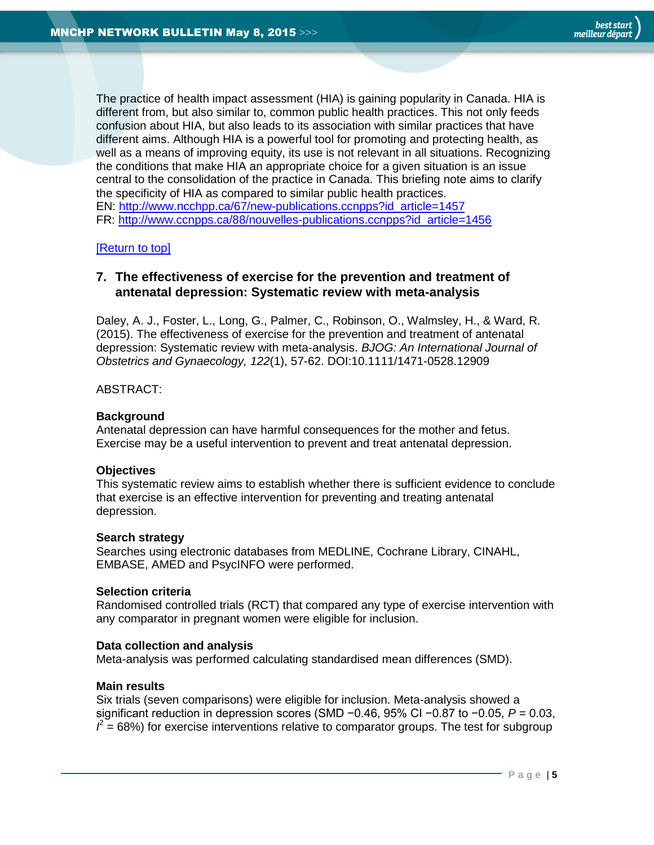The practice of health impact assessment (HIA) is gaining popularity in Canada. HIA is different from, but also similar to, common public health practices. This not only feeds confusion about HIA, but also leads to its association with similar practices that have different aims. Although HIA is a powerful tool for promoting and protecting health, as well as a means of improving equity, its use is not relevant in all situations. Recognizing the conditions that make HIA an appropriate choice for a given situation is an issue central to the consolidation of the practice in Canada. This briefing note aims to clarify the specificity of HIA as compared to similar public health practices. EN: [http://www.ncchpp.ca/67/new-publications.ccnpps?id\\_article=1457](http://www.ncchpp.ca/67/new-publications.ccnpps?id_article=1457) FR: [http://www.ccnpps.ca/88/nouvelles-publications.ccnpps?id\\_article=1456](http://www.ccnpps.ca/88/nouvelles-publications.ccnpps?id_article=1456)

### [\[Return to top\]](#page-0-0)

### <span id="page-4-0"></span>**7. The effectiveness of exercise for the prevention and treatment of antenatal depression: Systematic review with meta-analysis**

Daley, A. J., Foster, L., Long, G., Palmer, C., Robinson, O., Walmsley, H., & Ward, R. (2015). The effectiveness of exercise for the prevention and treatment of antenatal depression: Systematic review with meta-analysis. *BJOG: An International Journal of Obstetrics and Gynaecology, 122*(1), 57-62. DOI:10.1111/1471-0528.12909

### ABSTRACT:

### **Background**

Antenatal depression can have harmful consequences for the mother and fetus. Exercise may be a useful intervention to prevent and treat antenatal depression.

### **Objectives**

This systematic review aims to establish whether there is sufficient evidence to conclude that exercise is an effective intervention for preventing and treating antenatal depression.

### **Search strategy**

Searches using electronic databases from MEDLINE, Cochrane Library, CINAHL, EMBASE, AMED and PsycINFO were performed.

### **Selection criteria**

Randomised controlled trials (RCT) that compared any type of exercise intervention with any comparator in pregnant women were eligible for inclusion.

### **Data collection and analysis**

Meta-analysis was performed calculating standardised mean differences (SMD).

### **Main results**

Six trials (seven comparisons) were eligible for inclusion. Meta-analysis showed a significant reduction in depression scores (SMD −0.46, 95% CI −0.87 to −0.05, *P* = 0.03,  $\hat{I}$  = 68%) for exercise interventions relative to comparator groups. The test for subgroup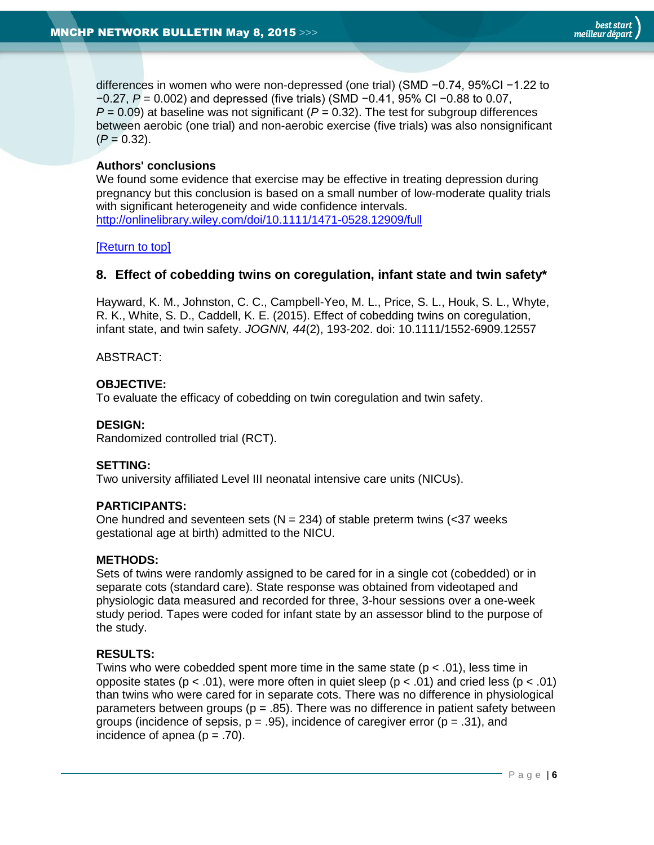differences in women who were non-depressed (one trial) (SMD −0.74, 95%CI −1.22 to −0.27, *P* = 0.002) and depressed (five trials) (SMD −0.41, 95% CI −0.88 to 0.07,  $P = 0.09$ ) at baseline was not significant ( $P = 0.32$ ). The test for subgroup differences between aerobic (one trial) and non-aerobic exercise (five trials) was also nonsignificant  $(P = 0.32)$ .

### **Authors' conclusions**

We found some evidence that exercise may be effective in treating depression during pregnancy but this conclusion is based on a small number of low-moderate quality trials with significant heterogeneity and wide confidence intervals. <http://onlinelibrary.wiley.com/doi/10.1111/1471-0528.12909/full>

### [\[Return to top\]](#page-0-0)

### <span id="page-5-0"></span>**8. Effect of cobedding twins on coregulation, infant state and twin safety\***

Hayward, K. M., Johnston, C. C., Campbell-Yeo, M. L., Price, S. L., Houk, S. L., Whyte, R. K., White, S. D., Caddell, K. E. (2015). Effect of cobedding twins on coregulation, infant state, and twin safety. *JOGNN, 44*(2), 193-202. doi: 10.1111/1552-6909.12557

ABSTRACT:

### **OBJECTIVE:**

To evaluate the efficacy of cobedding on twin coregulation and twin safety.

### **DESIGN:**

Randomized controlled trial (RCT).

### **SETTING:**

Two university affiliated Level III neonatal intensive care units (NICUs).

### **PARTICIPANTS:**

One hundred and seventeen sets ( $N = 234$ ) of stable preterm twins (<37 weeks gestational age at birth) admitted to the NICU.

### **METHODS:**

Sets of twins were randomly assigned to be cared for in a single cot (cobedded) or in separate cots (standard care). State response was obtained from videotaped and physiologic data measured and recorded for three, 3-hour sessions over a one-week study period. Tapes were coded for infant state by an assessor blind to the purpose of the study.

### **RESULTS:**

Twins who were cobedded spent more time in the same state ( $p < .01$ ), less time in opposite states ( $p < .01$ ), were more often in quiet sleep ( $p < .01$ ) and cried less ( $p < .01$ ) than twins who were cared for in separate cots. There was no difference in physiological parameters between groups ( $p = .85$ ). There was no difference in patient safety between groups (incidence of sepsis,  $p = .95$ ), incidence of caregiver error ( $p = .31$ ), and incidence of apnea  $(p = .70)$ .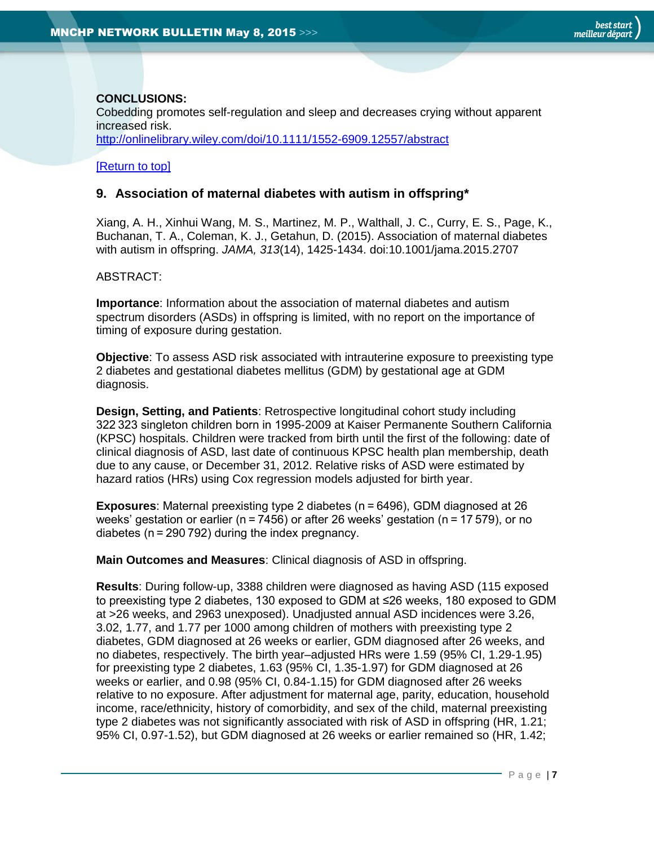### **CONCLUSIONS:**

Cobedding promotes self-regulation and sleep and decreases crying without apparent increased risk.

<http://onlinelibrary.wiley.com/doi/10.1111/1552-6909.12557/abstract>

### [\[Return to top\]](#page-0-0)

### <span id="page-6-0"></span>**9. Association of maternal diabetes with autism in offspring\***

Xiang, A. H., Xinhui Wang, M. S., Martinez, M. P., Walthall, J. C., Curry, E. S., Page, K., Buchanan, T. A., Coleman, K. J., Getahun, D. (2015). Association of maternal diabetes with autism in offspring. *JAMA, 313*(14), 1425-1434. doi:10.1001/jama.2015.2707

### ABSTRACT:

**Importance**: Information about the association of maternal diabetes and autism spectrum disorders (ASDs) in offspring is limited, with no report on the importance of timing of exposure during gestation.

**Objective**: To assess ASD risk associated with intrauterine exposure to preexisting type 2 diabetes and gestational diabetes mellitus (GDM) by gestational age at GDM diagnosis.

**Design, Setting, and Patients**: Retrospective longitudinal cohort study including 322 323 singleton children born in 1995-2009 at Kaiser Permanente Southern California (KPSC) hospitals. Children were tracked from birth until the first of the following: date of clinical diagnosis of ASD, last date of continuous KPSC health plan membership, death due to any cause, or December 31, 2012. Relative risks of ASD were estimated by hazard ratios (HRs) using Cox regression models adjusted for birth year.

**Exposures**: Maternal preexisting type 2 diabetes (n = 6496), GDM diagnosed at 26 weeks' gestation or earlier (n = 7456) or after 26 weeks' gestation (n = 17 579), or no diabetes (n = 290 792) during the index pregnancy.

**Main Outcomes and Measures**: Clinical diagnosis of ASD in offspring.

**Results**: During follow-up, 3388 children were diagnosed as having ASD (115 exposed to preexisting type 2 diabetes, 130 exposed to GDM at ≤26 weeks, 180 exposed to GDM at >26 weeks, and 2963 unexposed). Unadjusted annual ASD incidences were 3.26, 3.02, 1.77, and 1.77 per 1000 among children of mothers with preexisting type 2 diabetes, GDM diagnosed at 26 weeks or earlier, GDM diagnosed after 26 weeks, and no diabetes, respectively. The birth year–adjusted HRs were 1.59 (95% CI, 1.29-1.95) for preexisting type 2 diabetes, 1.63 (95% CI, 1.35-1.97) for GDM diagnosed at 26 weeks or earlier, and 0.98 (95% CI, 0.84-1.15) for GDM diagnosed after 26 weeks relative to no exposure. After adjustment for maternal age, parity, education, household income, race/ethnicity, history of comorbidity, and sex of the child, maternal preexisting type 2 diabetes was not significantly associated with risk of ASD in offspring (HR, 1.21; 95% CI, 0.97-1.52), but GDM diagnosed at 26 weeks or earlier remained so (HR, 1.42;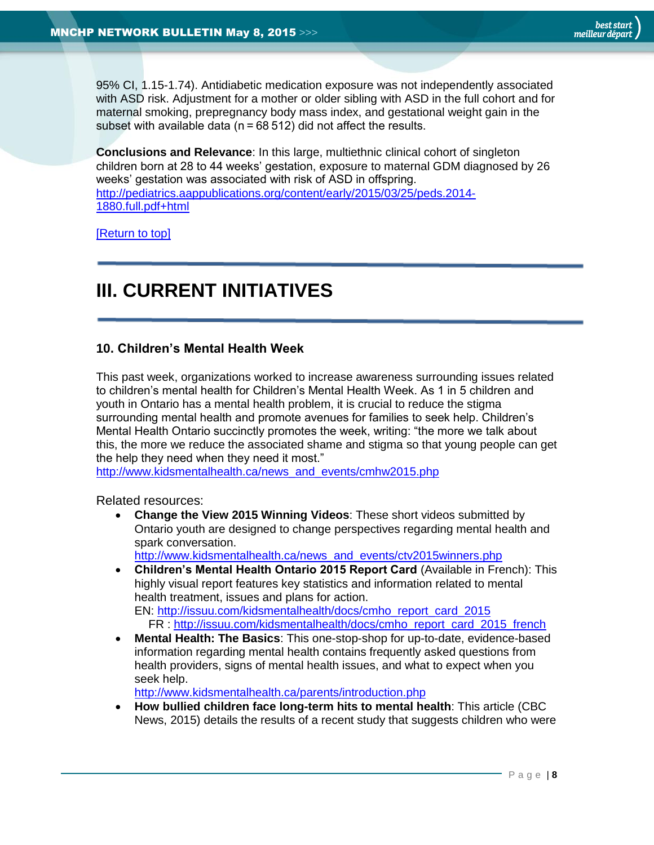95% CI, 1.15-1.74). Antidiabetic medication exposure was not independently associated with ASD risk. Adjustment for a mother or older sibling with ASD in the full cohort and for maternal smoking, prepregnancy body mass index, and gestational weight gain in the subset with available data ( $n = 68512$ ) did not affect the results.

**Conclusions and Relevance**: In this large, multiethnic clinical cohort of singleton children born at 28 to 44 weeks' gestation, exposure to maternal GDM diagnosed by 26 weeks' gestation was associated with risk of ASD in offspring. [http://pediatrics.aappublications.org/content/early/2015/03/25/peds.2014-](http://pediatrics.aappublications.org/content/early/2015/03/25/peds.2014-1880.full.pdf+html) [1880.full.pdf+html](http://pediatrics.aappublications.org/content/early/2015/03/25/peds.2014-1880.full.pdf+html)

[\[Return to top\]](#page-0-0)

# <span id="page-7-0"></span>**III. CURRENT INITIATIVES**

### <span id="page-7-1"></span>**10. Children's Mental Health Week**

This past week, organizations worked to increase awareness surrounding issues related to children's mental health for Children's Mental Health Week. As 1 in 5 children and youth in Ontario has a mental health problem, it is crucial to reduce the stigma surrounding mental health and promote avenues for families to seek help. Children's Mental Health Ontario succinctly promotes the week, writing: "the more we talk about this, the more we reduce the associated shame and stigma so that young people can get the help they need when they need it most."

[http://www.kidsmentalhealth.ca/news\\_and\\_events/cmhw2015.php](http://www.kidsmentalhealth.ca/news_and_events/cmhw2015.php)

Related resources:

 **Change the View 2015 Winning Videos**: These short videos submitted by Ontario youth are designed to change perspectives regarding mental health and spark conversation.

[http://www.kidsmentalhealth.ca/news\\_and\\_events/ctv2015winners.php](http://www.kidsmentalhealth.ca/news_and_events/ctv2015winners.php)

- **Children's Mental Health Ontario 2015 Report Card** (Available in French): This highly visual report features key statistics and information related to mental health treatment, issues and plans for action. EN: [http://issuu.com/kidsmentalhealth/docs/cmho\\_report\\_card\\_2015](http://issuu.com/kidsmentalhealth/docs/cmho_report_card_2015) FR : [http://issuu.com/kidsmentalhealth/docs/cmho\\_report\\_card\\_2015\\_french](http://issuu.com/kidsmentalhealth/docs/cmho_report_card_2015_french)
- **Mental Health: The Basics**: This one-stop-shop for up-to-date, evidence-based information regarding mental health contains frequently asked questions from health providers, signs of mental health issues, and what to expect when you seek help.

<http://www.kidsmentalhealth.ca/parents/introduction.php>

 **How bullied children face long-term hits to mental health**: This article (CBC News, 2015) details the results of a recent study that suggests children who were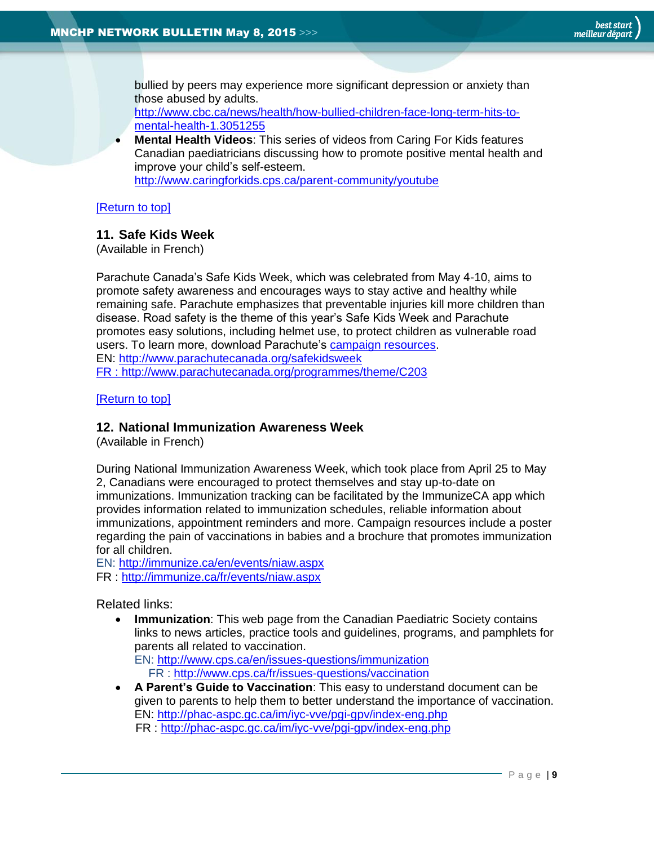bullied by peers may experience more significant depression or anxiety than those abused by adults.

[http://www.cbc.ca/news/health/how-bullied-children-face-long-term-hits-to](http://www.cbc.ca/news/health/how-bullied-children-face-long-term-hits-to-mental-health-1.3051255)[mental-health-1.3051255](http://www.cbc.ca/news/health/how-bullied-children-face-long-term-hits-to-mental-health-1.3051255) 

 **Mental Health Videos**: This series of videos from Caring For Kids features Canadian paediatricians discussing how to promote positive mental health and improve your child's self-esteem. <http://www.caringforkids.cps.ca/parent-community/youtube>

### [\[Return to top\]](#page-0-0)

### <span id="page-8-0"></span>**11. Safe Kids Week**

(Available in French)

Parachute Canada's Safe Kids Week, which was celebrated from May 4-10, aims to promote safety awareness and encourages ways to stay active and healthy while remaining safe. Parachute emphasizes that preventable injuries kill more children than disease. Road safety is the theme of this year's Safe Kids Week and Parachute promotes easy solutions, including helmet use, to protect children as vulnerable road users. To learn more, download Parachute's [campaign resources.](http://www.parachutecanada.org/programs/topic/C427) EN:<http://www.parachutecanada.org/safekidsweek>

FR :<http://www.parachutecanada.org/programmes/theme/C203>

[\[Return to top\]](#page-0-0)

### <span id="page-8-1"></span>**12. National Immunization Awareness Week**

(Available in French)

During National Immunization Awareness Week, which took place from April 25 to May 2, Canadians were encouraged to protect themselves and stay up-to-date on immunizations. Immunization tracking can be facilitated by the ImmunizeCA app which provides information related to immunization schedules, reliable information about immunizations, appointment reminders and more. Campaign resources include a poster regarding the pain of vaccinations in babies and a brochure that promotes immunization for all children.

EN:<http://immunize.ca/en/events/niaw.aspx>

FR :<http://immunize.ca/fr/events/niaw.aspx>

Related links:

 **Immunization**: This web page from the Canadian Paediatric Society contains links to news articles, practice tools and guidelines, programs, and pamphlets for parents all related to vaccination. EN:<http://www.cps.ca/en/issues-questions/immunization>

FR :<http://www.cps.ca/fr/issues-questions/vaccination>

 **A Parent's Guide to Vaccination**: This easy to understand document can be given to parents to help them to better understand the importance of vaccination. EN:<http://phac-aspc.gc.ca/im/iyc-vve/pgi-gpv/index-eng.php> FR :<http://phac-aspc.gc.ca/im/iyc-vve/pgi-gpv/index-eng.php>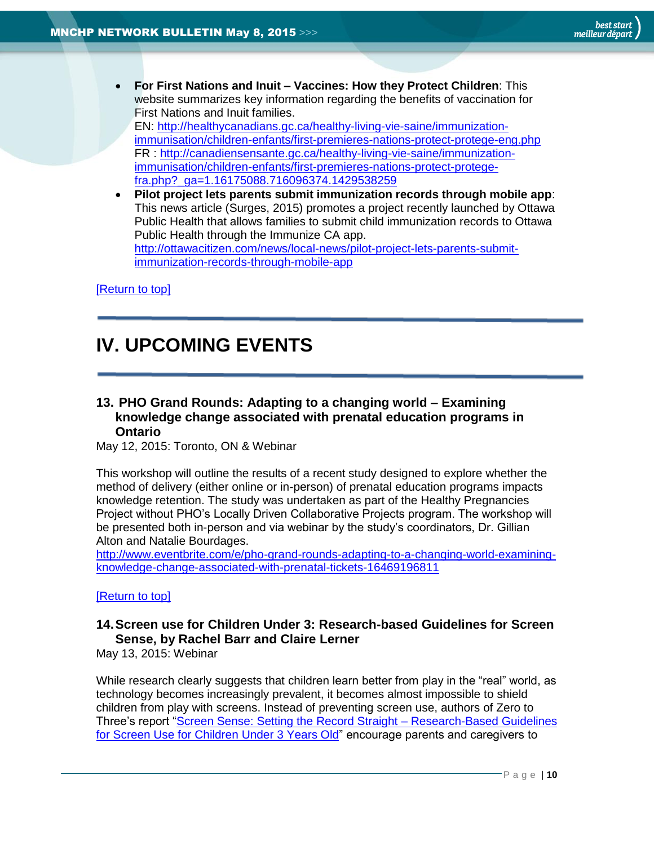**For First Nations and Inuit – Vaccines: How they Protect Children**: This website summarizes key information regarding the benefits of vaccination for First Nations and Inuit families.

EN: [http://healthycanadians.gc.ca/healthy-living-vie-saine/immunization](http://healthycanadians.gc.ca/healthy-living-vie-saine/immunization-immunisation/children-enfants/first-premieres-nations-protect-protege-eng.php)[immunisation/children-enfants/first-premieres-nations-protect-protege-eng.php](http://healthycanadians.gc.ca/healthy-living-vie-saine/immunization-immunisation/children-enfants/first-premieres-nations-protect-protege-eng.php) FR : [http://canadiensensante.gc.ca/healthy-living-vie-saine/immunization](http://canadiensensante.gc.ca/healthy-living-vie-saine/immunization-immunisation/children-enfants/first-premieres-nations-protect-protege-fra.php?_ga=1.16175088.716096374.1429538259)[immunisation/children-enfants/first-premieres-nations-protect-protege](http://canadiensensante.gc.ca/healthy-living-vie-saine/immunization-immunisation/children-enfants/first-premieres-nations-protect-protege-fra.php?_ga=1.16175088.716096374.1429538259)[fra.php?\\_ga=1.16175088.716096374.1429538259](http://canadiensensante.gc.ca/healthy-living-vie-saine/immunization-immunisation/children-enfants/first-premieres-nations-protect-protege-fra.php?_ga=1.16175088.716096374.1429538259)

<span id="page-9-0"></span> **Pilot project lets parents submit immunization records through mobile app**: This news article (Surges, 2015) promotes a project recently launched by Ottawa Public Health that allows families to submit child immunization records to Ottawa Public Health through the Immunize CA app. [http://ottawacitizen.com/news/local-news/pilot-project-lets-parents-submit](http://ottawacitizen.com/news/local-news/pilot-project-lets-parents-submit-immunization-records-through-mobile-app)[immunization-records-through-mobile-app](http://ottawacitizen.com/news/local-news/pilot-project-lets-parents-submit-immunization-records-through-mobile-app)

[\[Return to top\]](#page-0-0)

# **IV. UPCOMING EVENTS**

### <span id="page-9-1"></span>**13. PHO Grand Rounds: Adapting to a changing world – Examining knowledge change associated with prenatal education programs in Ontario**

May 12, 2015: Toronto, ON & Webinar

This workshop will outline the results of a recent study designed to explore whether the method of delivery (either online or in-person) of prenatal education programs impacts knowledge retention. The study was undertaken as part of the Healthy Pregnancies Project without PHO's Locally Driven Collaborative Projects program. The workshop will be presented both in-person and via webinar by the study's coordinators, Dr. Gillian Alton and Natalie Bourdages.

[http://www.eventbrite.com/e/pho-grand-rounds-adapting-to-a-changing-world-examining](http://www.eventbrite.com/e/pho-grand-rounds-adapting-to-a-changing-world-examining-knowledge-change-associated-with-prenatal-tickets-16469196811)[knowledge-change-associated-with-prenatal-tickets-16469196811](http://www.eventbrite.com/e/pho-grand-rounds-adapting-to-a-changing-world-examining-knowledge-change-associated-with-prenatal-tickets-16469196811)

### [\[Return to top\]](#page-0-0)

### <span id="page-9-2"></span>**14.Screen use for Children Under 3: Research-based Guidelines for Screen Sense, by Rachel Barr and Claire Lerner**

May 13, 2015: Webinar

While research clearly suggests that children learn better from play in the "real" world, as technology becomes increasingly prevalent, it becomes almost impossible to shield children from play with screens. Instead of preventing screen use, authors of Zero to Three's report "Screen Sense: Setting the Record Straight - Research-Based Guidelines [for Screen Use for Children Under 3 Years Old"](http://www.zerotothree.org/parenting-resources/screen-sense/) encourage parents and caregivers to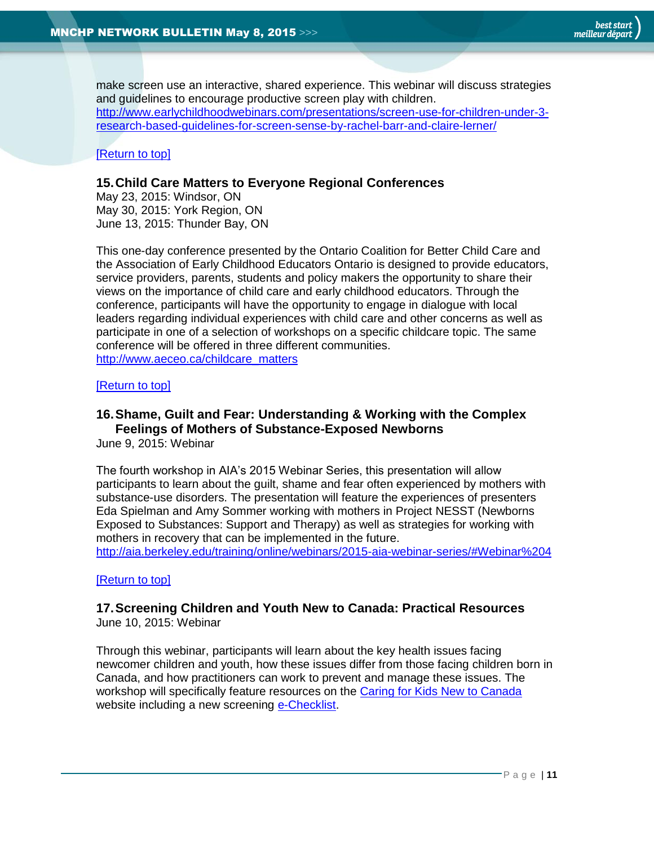make screen use an interactive, shared experience. This webinar will discuss strategies and guidelines to encourage productive screen play with children. [http://www.earlychildhoodwebinars.com/presentations/screen-use-for-children-under-3](http://www.earlychildhoodwebinars.com/presentations/screen-use-for-children-under-3-research-based-guidelines-for-screen-sense-by-rachel-barr-and-claire-lerner/) [research-based-guidelines-for-screen-sense-by-rachel-barr-and-claire-lerner/](http://www.earlychildhoodwebinars.com/presentations/screen-use-for-children-under-3-research-based-guidelines-for-screen-sense-by-rachel-barr-and-claire-lerner/)

### [\[Return to top\]](#page-0-0)

### <span id="page-10-0"></span>**15.Child Care Matters to Everyone Regional Conferences**

May 23, 2015: Windsor, ON May 30, 2015: York Region, ON June 13, 2015: Thunder Bay, ON

This one-day conference presented by the Ontario Coalition for Better Child Care and the Association of Early Childhood Educators Ontario is designed to provide educators, service providers, parents, students and policy makers the opportunity to share their views on the importance of child care and early childhood educators. Through the conference, participants will have the opportunity to engage in dialogue with local leaders regarding individual experiences with child care and other concerns as well as participate in one of a selection of workshops on a specific childcare topic. The same conference will be offered in three different communities. [http://www.aeceo.ca/childcare\\_matters](http://www.aeceo.ca/childcare_matters)

#### [\[Return to top\]](#page-0-0)

### <span id="page-10-1"></span>**16.Shame, Guilt and Fear: Understanding & Working with the Complex Feelings of Mothers of Substance-Exposed Newborns**

June 9, 2015: Webinar

The fourth workshop in AIA's 2015 Webinar Series, this presentation will allow participants to learn about the guilt, shame and fear often experienced by mothers with substance-use disorders. The presentation will feature the experiences of presenters Eda Spielman and Amy Sommer working with mothers in Project NESST (Newborns Exposed to Substances: Support and Therapy) as well as strategies for working with mothers in recovery that can be implemented in the future.

<http://aia.berkeley.edu/training/online/webinars/2015-aia-webinar-series/#Webinar%204>

### [\[Return to top\]](#page-0-0)

# <span id="page-10-2"></span>**17.Screening Children and Youth New to Canada: Practical Resources**

June 10, 2015: Webinar

Through this webinar, participants will learn about the key health issues facing newcomer children and youth, how these issues differ from those facing children born in Canada, and how practitioners can work to prevent and manage these issues. The workshop will specifically feature resources on the [Caring for Kids New to Canada](http://www.kidsnewtocanada.ca/) website including a new screening [e-Checklist.](http://www.kidsnewtocanada.ca/e-checklist)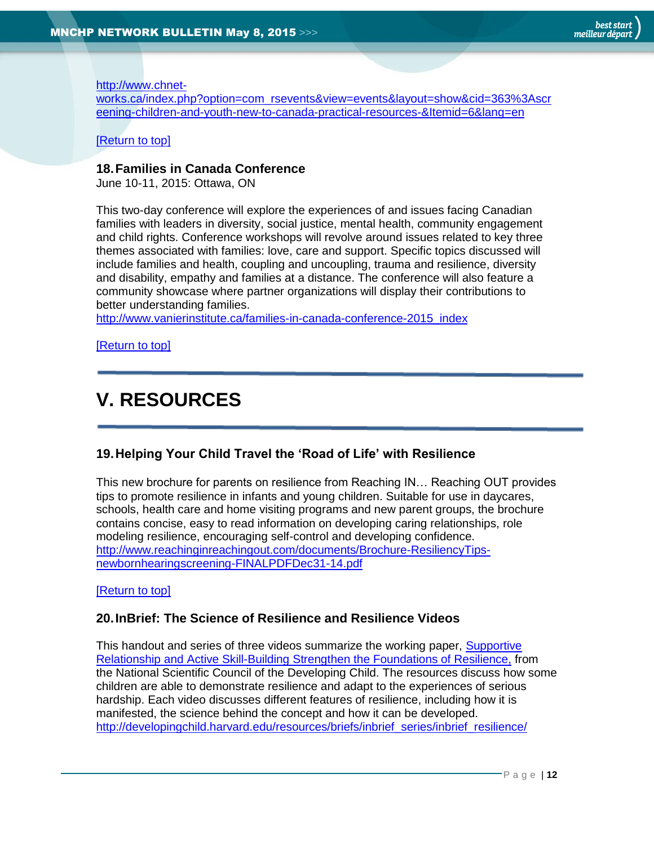### [http://www.chnet-](http://www.chnet-works.ca/index.php?option=com_rsevents&view=events&layout=show&cid=363%3Ascreening-children-and-youth-new-to-canada-practical-resources-&Itemid=6&lang=en)

[works.ca/index.php?option=com\\_rsevents&view=events&layout=show&cid=363%3Ascr](http://www.chnet-works.ca/index.php?option=com_rsevents&view=events&layout=show&cid=363%3Ascreening-children-and-youth-new-to-canada-practical-resources-&Itemid=6&lang=en) [eening-children-and-youth-new-to-canada-practical-resources-&Itemid=6&lang=en](http://www.chnet-works.ca/index.php?option=com_rsevents&view=events&layout=show&cid=363%3Ascreening-children-and-youth-new-to-canada-practical-resources-&Itemid=6&lang=en)

### [\[Return to top\]](#page-0-0)

### <span id="page-11-0"></span>**18.Families in Canada Conference**

June 10-11, 2015: Ottawa, ON

This two-day conference will explore the experiences of and issues facing Canadian families with leaders in diversity, social justice, mental health, community engagement and child rights. Conference workshops will revolve around issues related to key three themes associated with families: love, care and support. Specific topics discussed will include families and health, coupling and uncoupling, trauma and resilience, diversity and disability, empathy and families at a distance. The conference will also feature a community showcase where partner organizations will display their contributions to better understanding families.

[http://www.vanierinstitute.ca/families-in-canada-conference-2015\\_index](http://www.vanierinstitute.ca/families-in-canada-conference-2015_index)

[\[Return to top\]](#page-0-0)

# <span id="page-11-1"></span>**V. RESOURCES**

### <span id="page-11-2"></span>**19.Helping Your Child Travel the 'Road of Life' with Resilience**

This new brochure for parents on resilience from Reaching IN… Reaching OUT provides tips to promote resilience in infants and young children. Suitable for use in daycares, schools, health care and home visiting programs and new parent groups, the brochure contains concise, easy to read information on developing caring relationships, role modeling resilience, encouraging self-control and developing confidence. [http://www.reachinginreachingout.com/documents/Brochure-ResiliencyTips](http://www.reachinginreachingout.com/documents/Brochure-ResiliencyTips-newbornhearingscreening-FINALPDFDec31-14.pdf)[newbornhearingscreening-FINALPDFDec31-14.pdf](http://www.reachinginreachingout.com/documents/Brochure-ResiliencyTips-newbornhearingscreening-FINALPDFDec31-14.pdf)

### [\[Return to top\]](#page-0-0)

### <span id="page-11-3"></span>**20.InBrief: The Science of Resilience and Resilience Videos**

This handout and series of three videos summarize the working paper, [Supportive](http://developingchild.harvard.edu/resources/briefs/inbrief_series/inbrief_resilience/)  [Relationship and Active Skill-Building Strengthen the Foundations of Resilience,](http://developingchild.harvard.edu/resources/briefs/inbrief_series/inbrief_resilience/) from the National Scientific Council of the Developing Child. The resources discuss how some children are able to demonstrate resilience and adapt to the experiences of serious hardship. Each video discusses different features of resilience, including how it is manifested, the science behind the concept and how it can be developed. [http://developingchild.harvard.edu/resources/briefs/inbrief\\_series/inbrief\\_resilience/](http://developingchild.harvard.edu/resources/briefs/inbrief_series/inbrief_resilience/)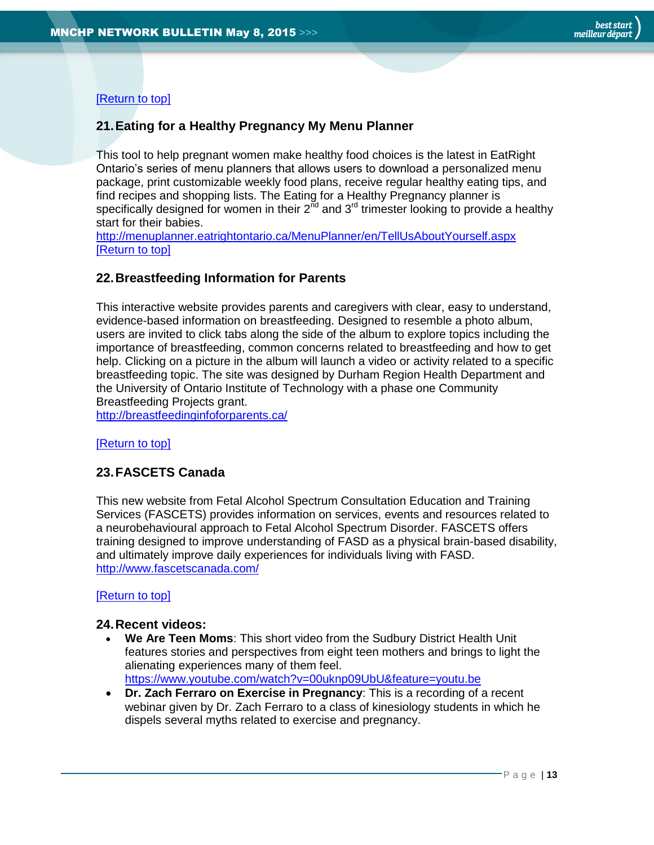[\[Return to top\]](#page-0-0)

### <span id="page-12-0"></span>**21.Eating for a Healthy Pregnancy My Menu Planner**

This tool to help pregnant women make healthy food choices is the latest in EatRight Ontario's series of menu planners that allows users to download a personalized menu package, print customizable weekly food plans, receive regular healthy eating tips, and find recipes and shopping lists. The Eating for a Healthy Pregnancy planner is specifically designed for women in their  $2<sup>nd</sup>$  and  $3<sup>rd</sup>$  trimester looking to provide a healthy start for their babies.

<http://menuplanner.eatrightontario.ca/MenuPlanner/en/TellUsAboutYourself.aspx> [\[Return to top\]](#page-0-0)

### <span id="page-12-1"></span>**22.Breastfeeding Information for Parents**

This interactive website provides parents and caregivers with clear, easy to understand, evidence-based information on breastfeeding. Designed to resemble a photo album, users are invited to click tabs along the side of the album to explore topics including the importance of breastfeeding, common concerns related to breastfeeding and how to get help. Clicking on a picture in the album will launch a video or activity related to a specific breastfeeding topic. The site was designed by Durham Region Health Department and the University of Ontario Institute of Technology with a phase one Community Breastfeeding Projects grant.

<http://breastfeedinginfoforparents.ca/>

[\[Return to top\]](#page-0-0)

### <span id="page-12-2"></span>**23.FASCETS Canada**

This new website from Fetal Alcohol Spectrum Consultation Education and Training Services (FASCETS) provides information on services, events and resources related to a neurobehavioural approach to Fetal Alcohol Spectrum Disorder. FASCETS offers training designed to improve understanding of FASD as a physical brain-based disability, and ultimately improve daily experiences for individuals living with FASD. <http://www.fascetscanada.com/>

### [\[Return to top\]](#page-0-0)

### <span id="page-12-3"></span>**24.Recent videos:**

- **We Are Teen Moms**: This short video from the Sudbury District Health Unit features stories and perspectives from eight teen mothers and brings to light the alienating experiences many of them feel. <https://www.youtube.com/watch?v=00uknp09UbU&feature=youtu.be>
- **Dr. Zach Ferraro on Exercise in Pregnancy**: This is a recording of a recent webinar given by Dr. Zach Ferraro to a class of kinesiology students in which he dispels several myths related to exercise and pregnancy.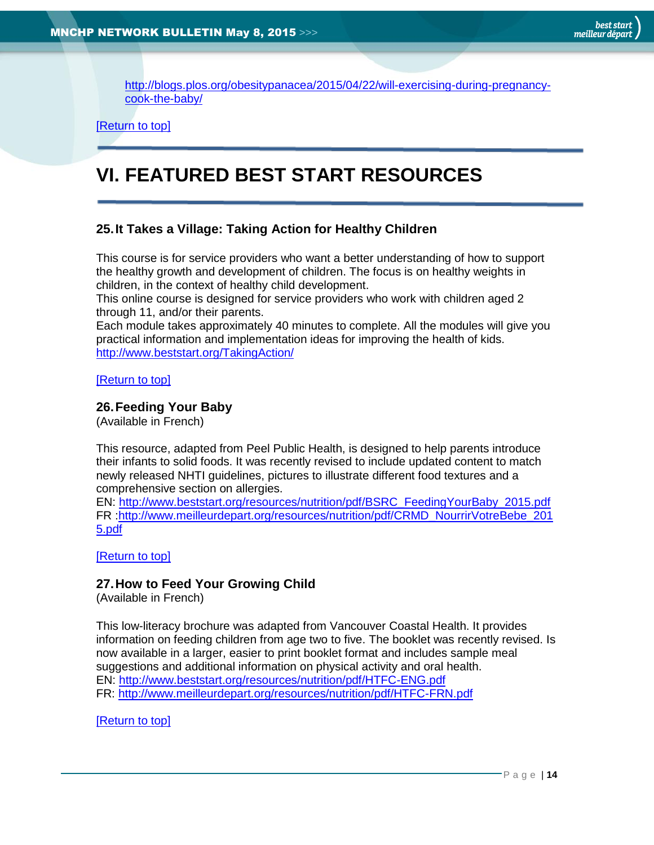[http://blogs.plos.org/obesitypanacea/2015/04/22/will-exercising-during-pregnancy](http://blogs.plos.org/obesitypanacea/2015/04/22/will-exercising-during-pregnancy-cook-the-baby/)[cook-the-baby/](http://blogs.plos.org/obesitypanacea/2015/04/22/will-exercising-during-pregnancy-cook-the-baby/)

[\[Return to top\]](#page-0-0)

# <span id="page-13-0"></span>**VI. FEATURED BEST START RESOURCES**

### <span id="page-13-1"></span>**25.It Takes a Village: Taking Action for Healthy Children**

This course is for service providers who want a better understanding of how to support the healthy growth and development of children. The focus is on healthy weights in children, in the context of healthy child development.

This online course is designed for service providers who work with children aged 2 through 11, and/or their parents.

Each module takes approximately 40 minutes to complete. All the modules will give you practical information and implementation ideas for improving the health of kids. <http://www.beststart.org/TakingAction/>

[\[Return to top\]](#page-0-0)

### <span id="page-13-2"></span>**26.Feeding Your Baby**

(Available in French)

This resource, adapted from Peel Public Health, is designed to help parents introduce their infants to solid foods. It was recently revised to include updated content to match newly released NHTI guidelines, pictures to illustrate different food textures and a comprehensive section on allergies.

EN: [http://www.beststart.org/resources/nutrition/pdf/BSRC\\_FeedingYourBaby\\_2015.pdf](http://www.beststart.org/resources/nutrition/pdf/BSRC_FeedingYourBaby_2015.pdf) FR [:http://www.meilleurdepart.org/resources/nutrition/pdf/CRMD\\_NourrirVotreBebe\\_201](http://www.meilleurdepart.org/resources/nutrition/pdf/CRMD_NourrirVotreBebe_2015.pdf) [5.pdf](http://www.meilleurdepart.org/resources/nutrition/pdf/CRMD_NourrirVotreBebe_2015.pdf)

[\[Return to top\]](#page-0-0)

### <span id="page-13-3"></span>**27.How to Feed Your Growing Child**

(Available in French)

This low-literacy brochure was adapted from Vancouver Coastal Health. It provides information on feeding children from age two to five. The booklet was recently revised. Is now available in a larger, easier to print booklet format and includes sample meal suggestions and additional information on physical activity and oral health. EN:<http://www.beststart.org/resources/nutrition/pdf/HTFC-ENG.pdf> FR:<http://www.meilleurdepart.org/resources/nutrition/pdf/HTFC-FRN.pdf>

[\[Return to top\]](#page-0-0)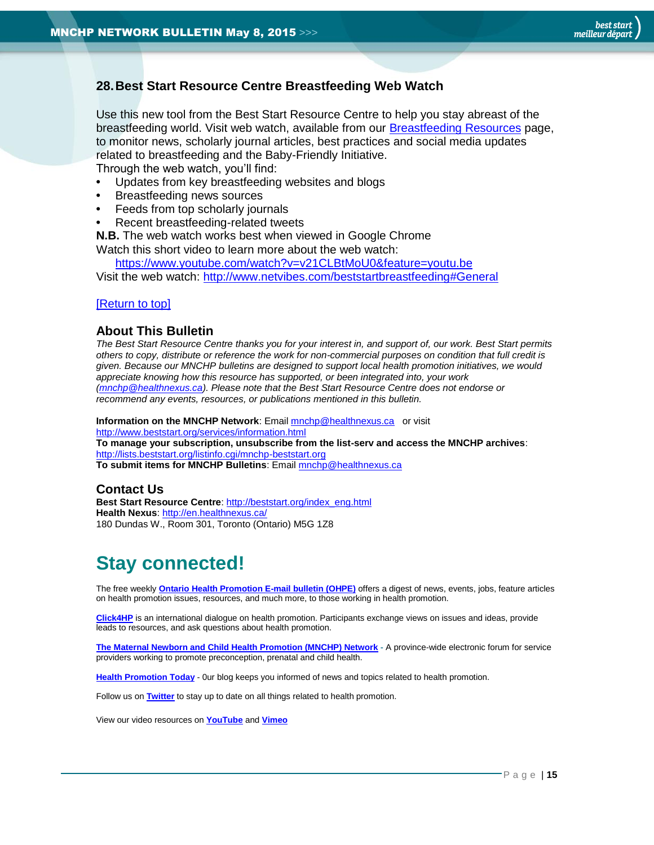### <span id="page-14-1"></span>**28.Best Start Resource Centre Breastfeeding Web Watch**

Use this new tool from the Best Start Resource Centre to help you stay abreast of the breastfeeding world. Visit web watch, available from our [Breastfeeding Resources](http://www.beststart.org/cgi-bin/commerce.cgi?search=action&category=B00E&advanced=yes&sortkey=sku&sortorder=descending) page, to monitor news, scholarly journal articles, best practices and social media updates related to breastfeeding and the Baby-Friendly Initiative.

Through the web watch, you'll find:

- **•** Updates from key breastfeeding websites and blogs
- **•** Breastfeeding news sources
- **•** Feeds from top scholarly journals
- **•** Recent breastfeeding-related tweets

**N.B.** The web watch works best when viewed in Google Chrome Watch this short video to learn more about the web watch:

<https://www.youtube.com/watch?v=v21CLBtMoU0&feature=youtu.be> Visit the web watch:<http://www.netvibes.com/beststartbreastfeeding#General>

### [\[Return to top\]](#page-0-0)

### <span id="page-14-0"></span>**About This Bulletin**

*The Best Start Resource Centre thanks you for your interest in, and support of, our work. Best Start permits others to copy, distribute or reference the work for non-commercial purposes on condition that full credit is given. Because our MNCHP bulletins are designed to support local health promotion initiatives, we would appreciate knowing how this resource has supported, or been integrated into, your work [\(mnchp@healthnexus.ca\)](mailto:mnchp@healthnexus.ca). Please note that the Best Start Resource Centre does not endorse or recommend any events, resources, or publications mentioned in this bulletin.* 

**Information on the MNCHP Network:** Email **mnchp@healthnexus.ca** or visit <http://www.beststart.org/services/information.html> **To manage your subscription, unsubscribe from the list-serv and access the MNCHP archives**: <http://lists.beststart.org/listinfo.cgi/mnchp-beststart.org> **To submit items for MNCHP Bulletins**: Emai[l mnchp@healthnexus.ca](mailto:mnchp@healthnexus.ca)

### **Contact Us**

**Best Start Resource Centre**: [http://beststart.org/index\\_eng.html](http://beststart.org/index_eng.html) **Health Nexus**:<http://en.healthnexus.ca/> 180 Dundas W., Room 301, Toronto (Ontario) M5G 1Z8

# **Stay connected!**

The free weekly **[Ontario Health Promotion E-mail bulletin \(OHPE\)](http://www.ohpe.ca/)** offers a digest of news, events, jobs, feature articles on health promotion issues, resources, and much more, to those working in health promotion.

**[Click4HP](https://listserv.yorku.ca/archives/click4hp.html)** is an international dialogue on health promotion. Participants exchange views on issues and ideas, provide leads to resources, and ask questions about health promotion.

**[The Maternal Newborn and Child Health Promotion \(MNCHP\) Network](http://www.beststart.org/services/MNCHP.html) -** A province-wide electronic forum for service providers working to promote preconception, prenatal and child health.

**[Health Promotion Today](http://en.healthnexus.ca/)** - 0ur blog keeps you informed of news and topics related to health promotion.

Follow us on **[Twitter](https://twitter.com/Health_Nexus)** to stay up to date on all things related to health promotion.

View our video resources on **[YouTube](http://www.youtube.com/user/healthnexussante)** and **[Vimeo](https://vimeo.com/user9493317)**